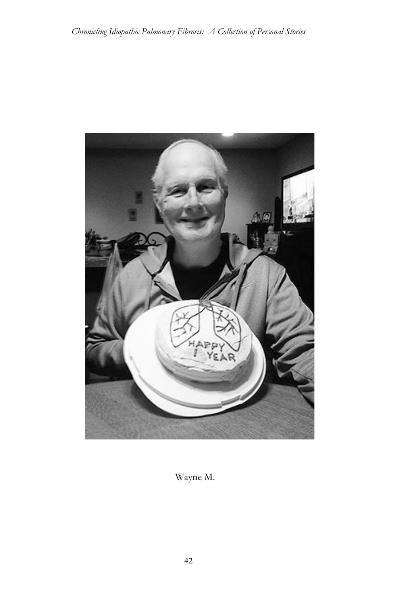

Wayne M.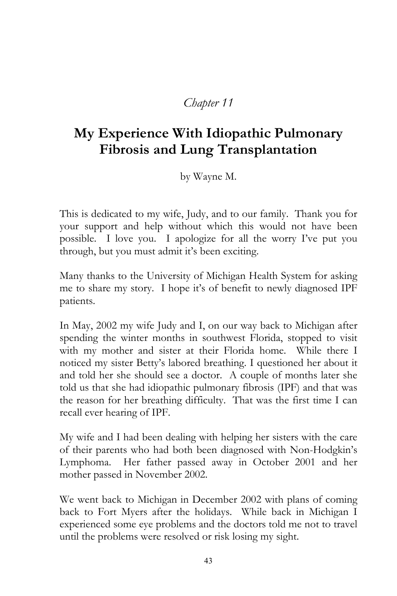## *Chapter 11*

# **My Experience With Idiopathic Pulmonary Fibrosis and Lung Transplantation**

by Wayne M.

This is dedicated to my wife, Judy, and to our family. Thank you for your support and help without which this would not have been possible. I love you. I apologize for all the worry I've put you through, but you must admit it's been exciting.

Many thanks to the University of Michigan Health System for asking me to share my story. I hope it's of benefit to newly diagnosed IPF patients.

In May, 2002 my wife Judy and I, on our way back to Michigan after spending the winter months in southwest Florida, stopped to visit with my mother and sister at their Florida home. While there I noticed my sister Betty's labored breathing. I questioned her about it and told her she should see a doctor. A couple of months later she told us that she had idiopathic pulmonary fibrosis (IPF) and that was the reason for her breathing difficulty. That was the first time I can recall ever hearing of IPF.

My wife and I had been dealing with helping her sisters with the care of their parents who had both been diagnosed with Non-Hodgkin's Lymphoma. Her father passed away in October 2001 and her mother passed in November 2002.

We went back to Michigan in December 2002 with plans of coming back to Fort Myers after the holidays. While back in Michigan I experienced some eye problems and the doctors told me not to travel until the problems were resolved or risk losing my sight.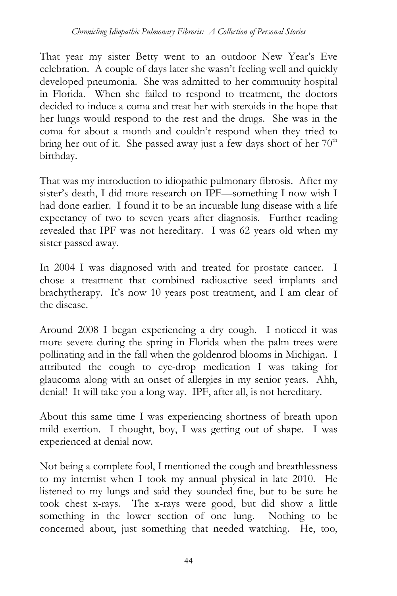That year my sister Betty went to an outdoor New Year's Eve celebration. A couple of days later she wasn't feeling well and quickly developed pneumonia. She was admitted to her community hospital in Florida. When she failed to respond to treatment, the doctors decided to induce a coma and treat her with steroids in the hope that her lungs would respond to the rest and the drugs. She was in the coma for about a month and couldn't respond when they tried to bring her out of it. She passed away just a few days short of her  $70<sup>th</sup>$ birthday.

That was my introduction to idiopathic pulmonary fibrosis. After my sister's death, I did more research on IPF—something I now wish I had done earlier. I found it to be an incurable lung disease with a life expectancy of two to seven years after diagnosis. Further reading revealed that IPF was not hereditary. I was 62 years old when my sister passed away.

In 2004 I was diagnosed with and treated for prostate cancer. I chose a treatment that combined radioactive seed implants and brachytherapy. It's now 10 years post treatment, and I am clear of the disease.

Around 2008 I began experiencing a dry cough. I noticed it was more severe during the spring in Florida when the palm trees were pollinating and in the fall when the goldenrod blooms in Michigan. I attributed the cough to eye-drop medication I was taking for glaucoma along with an onset of allergies in my senior years. Ahh, denial! It will take you a long way. IPF, after all, is not hereditary.

About this same time I was experiencing shortness of breath upon mild exertion. I thought, boy, I was getting out of shape. I was experienced at denial now.

Not being a complete fool, I mentioned the cough and breathlessness to my internist when I took my annual physical in late 2010. He listened to my lungs and said they sounded fine, but to be sure he took chest x-rays. The x-rays were good, but did show a little something in the lower section of one lung. Nothing to be concerned about, just something that needed watching. He, too,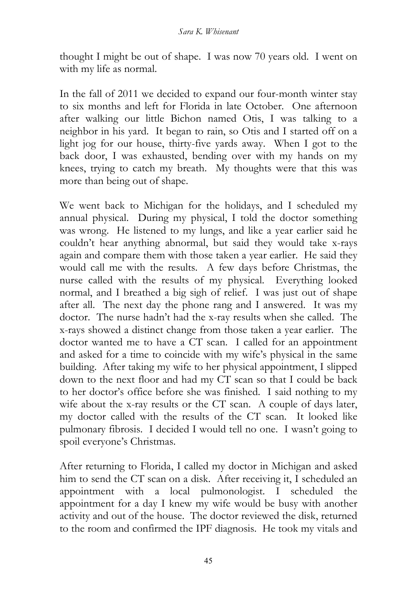thought I might be out of shape. I was now 70 years old. I went on with my life as normal.

In the fall of 2011 we decided to expand our four-month winter stay to six months and left for Florida in late October. One afternoon after walking our little Bichon named Otis, I was talking to a neighbor in his yard. It began to rain, so Otis and I started off on a light jog for our house, thirty-five yards away. When I got to the back door, I was exhausted, bending over with my hands on my knees, trying to catch my breath. My thoughts were that this was more than being out of shape.

We went back to Michigan for the holidays, and I scheduled my annual physical. During my physical, I told the doctor something was wrong. He listened to my lungs, and like a year earlier said he couldn't hear anything abnormal, but said they would take x-rays again and compare them with those taken a year earlier. He said they would call me with the results. A few days before Christmas, the nurse called with the results of my physical. Everything looked normal, and I breathed a big sigh of relief. I was just out of shape after all. The next day the phone rang and I answered. It was my doctor. The nurse hadn't had the x-ray results when she called. The x-rays showed a distinct change from those taken a year earlier. The doctor wanted me to have a CT scan. I called for an appointment and asked for a time to coincide with my wife's physical in the same building. After taking my wife to her physical appointment, I slipped down to the next floor and had my CT scan so that I could be back to her doctor's office before she was finished. I said nothing to my wife about the x-ray results or the CT scan. A couple of days later, my doctor called with the results of the CT scan. It looked like pulmonary fibrosis. I decided I would tell no one. I wasn't going to spoil everyone's Christmas.

After returning to Florida, I called my doctor in Michigan and asked him to send the CT scan on a disk. After receiving it, I scheduled an appointment with a local pulmonologist. I scheduled the appointment for a day I knew my wife would be busy with another activity and out of the house. The doctor reviewed the disk, returned to the room and confirmed the IPF diagnosis. He took my vitals and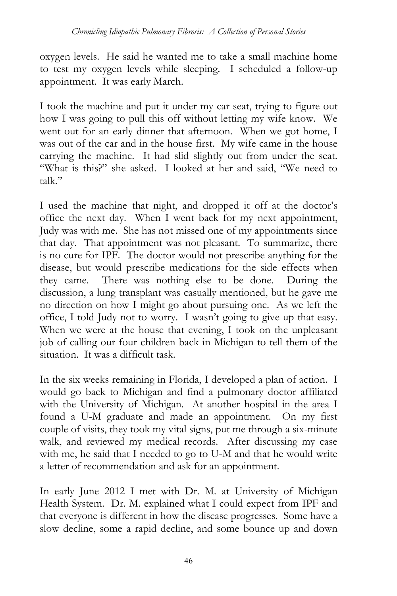oxygen levels. He said he wanted me to take a small machine home to test my oxygen levels while sleeping. I scheduled a follow-up appointment. It was early March.

I took the machine and put it under my car seat, trying to figure out how I was going to pull this off without letting my wife know. We went out for an early dinner that afternoon. When we got home, I was out of the car and in the house first. My wife came in the house carrying the machine. It had slid slightly out from under the seat. "What is this?" she asked. I looked at her and said, "We need to talk."

I used the machine that night, and dropped it off at the doctor's office the next day. When I went back for my next appointment, Judy was with me. She has not missed one of my appointments since that day. That appointment was not pleasant. To summarize, there is no cure for IPF. The doctor would not prescribe anything for the disease, but would prescribe medications for the side effects when they came. There was nothing else to be done. During the discussion, a lung transplant was casually mentioned, but he gave me no direction on how I might go about pursuing one. As we left the office, I told Judy not to worry. I wasn't going to give up that easy. When we were at the house that evening, I took on the unpleasant job of calling our four children back in Michigan to tell them of the situation. It was a difficult task.

In the six weeks remaining in Florida, I developed a plan of action. I would go back to Michigan and find a pulmonary doctor affiliated with the University of Michigan. At another hospital in the area I found a U-M graduate and made an appointment. On my first couple of visits, they took my vital signs, put me through a six-minute walk, and reviewed my medical records. After discussing my case with me, he said that I needed to go to U-M and that he would write a letter of recommendation and ask for an appointment.

In early June 2012 I met with Dr. M. at University of Michigan Health System. Dr. M. explained what I could expect from IPF and that everyone is different in how the disease progresses. Some have a slow decline, some a rapid decline, and some bounce up and down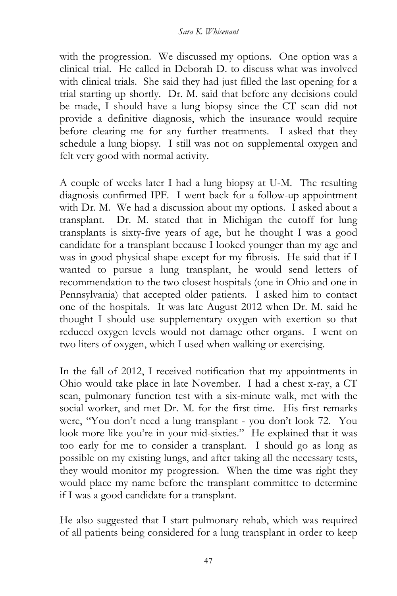with the progression. We discussed my options. One option was a clinical trial. He called in Deborah D. to discuss what was involved with clinical trials. She said they had just filled the last opening for a trial starting up shortly. Dr. M. said that before any decisions could be made, I should have a lung biopsy since the CT scan did not provide a definitive diagnosis, which the insurance would require before clearing me for any further treatments. I asked that they schedule a lung biopsy. I still was not on supplemental oxygen and felt very good with normal activity.

A couple of weeks later I had a lung biopsy at U-M. The resulting diagnosis confirmed IPF. I went back for a follow-up appointment with Dr. M. We had a discussion about my options. I asked about a transplant. Dr. M. stated that in Michigan the cutoff for lung transplants is sixty-five years of age, but he thought I was a good candidate for a transplant because I looked younger than my age and was in good physical shape except for my fibrosis. He said that if I wanted to pursue a lung transplant, he would send letters of recommendation to the two closest hospitals (one in Ohio and one in Pennsylvania) that accepted older patients. I asked him to contact one of the hospitals. It was late August 2012 when Dr. M. said he thought I should use supplementary oxygen with exertion so that reduced oxygen levels would not damage other organs. I went on two liters of oxygen, which I used when walking or exercising.

In the fall of 2012, I received notification that my appointments in Ohio would take place in late November. I had a chest x-ray, a CT scan, pulmonary function test with a six-minute walk, met with the social worker, and met Dr. M. for the first time. His first remarks were, "You don't need a lung transplant - you don't look 72. You look more like you're in your mid-sixties." He explained that it was too early for me to consider a transplant. I should go as long as possible on my existing lungs, and after taking all the necessary tests, they would monitor my progression. When the time was right they would place my name before the transplant committee to determine if I was a good candidate for a transplant.

He also suggested that I start pulmonary rehab, which was required of all patients being considered for a lung transplant in order to keep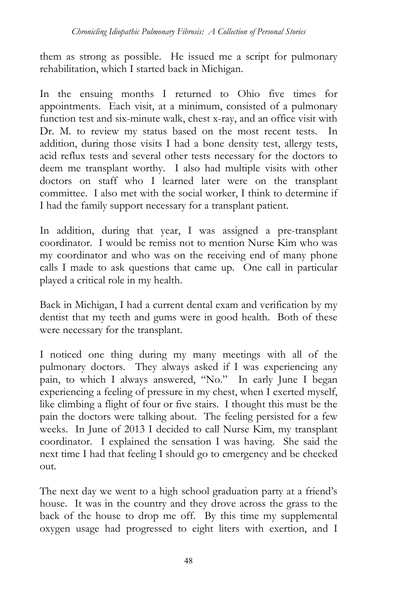them as strong as possible. He issued me a script for pulmonary rehabilitation, which I started back in Michigan.

In the ensuing months I returned to Ohio five times for appointments. Each visit, at a minimum, consisted of a pulmonary function test and six-minute walk, chest x-ray, and an office visit with Dr. M. to review my status based on the most recent tests. In addition, during those visits I had a bone density test, allergy tests, acid reflux tests and several other tests necessary for the doctors to deem me transplant worthy. I also had multiple visits with other doctors on staff who I learned later were on the transplant committee. I also met with the social worker, I think to determine if I had the family support necessary for a transplant patient.

In addition, during that year, I was assigned a pre-transplant coordinator. I would be remiss not to mention Nurse Kim who was my coordinator and who was on the receiving end of many phone calls I made to ask questions that came up. One call in particular played a critical role in my health.

Back in Michigan, I had a current dental exam and verification by my dentist that my teeth and gums were in good health. Both of these were necessary for the transplant.

I noticed one thing during my many meetings with all of the pulmonary doctors. They always asked if I was experiencing any pain, to which I always answered, "No." In early June I began experiencing a feeling of pressure in my chest, when I exerted myself, like climbing a flight of four or five stairs. I thought this must be the pain the doctors were talking about. The feeling persisted for a few weeks. In June of 2013 I decided to call Nurse Kim, my transplant coordinator. I explained the sensation I was having. She said the next time I had that feeling I should go to emergency and be checked out.

The next day we went to a high school graduation party at a friend's house. It was in the country and they drove across the grass to the back of the house to drop me off. By this time my supplemental oxygen usage had progressed to eight liters with exertion, and I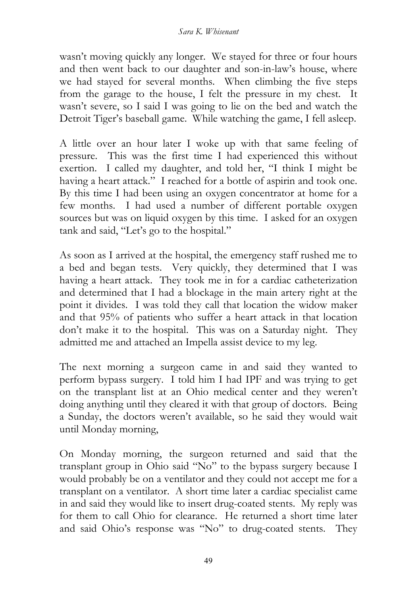wasn't moving quickly any longer. We stayed for three or four hours and then went back to our daughter and son-in-law's house, where we had stayed for several months. When climbing the five steps from the garage to the house, I felt the pressure in my chest. It wasn't severe, so I said I was going to lie on the bed and watch the Detroit Tiger's baseball game. While watching the game, I fell asleep.

A little over an hour later I woke up with that same feeling of pressure. This was the first time I had experienced this without exertion. I called my daughter, and told her, "I think I might be having a heart attack." I reached for a bottle of aspirin and took one. By this time I had been using an oxygen concentrator at home for a few months. I had used a number of different portable oxygen sources but was on liquid oxygen by this time. I asked for an oxygen tank and said, "Let's go to the hospital."

As soon as I arrived at the hospital, the emergency staff rushed me to a bed and began tests. Very quickly, they determined that I was having a heart attack. They took me in for a cardiac catheterization and determined that I had a blockage in the main artery right at the point it divides. I was told they call that location the widow maker and that 95% of patients who suffer a heart attack in that location don't make it to the hospital. This was on a Saturday night. They admitted me and attached an Impella assist device to my leg.

The next morning a surgeon came in and said they wanted to perform bypass surgery. I told him I had IPF and was trying to get on the transplant list at an Ohio medical center and they weren't doing anything until they cleared it with that group of doctors. Being a Sunday, the doctors weren't available, so he said they would wait until Monday morning,

On Monday morning, the surgeon returned and said that the transplant group in Ohio said "No" to the bypass surgery because I would probably be on a ventilator and they could not accept me for a transplant on a ventilator. A short time later a cardiac specialist came in and said they would like to insert drug-coated stents. My reply was for them to call Ohio for clearance. He returned a short time later and said Ohio's response was "No" to drug-coated stents. They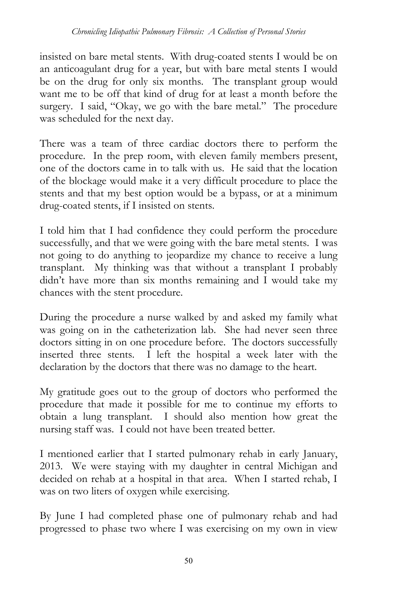insisted on bare metal stents. With drug-coated stents I would be on an anticoagulant drug for a year, but with bare metal stents I would be on the drug for only six months. The transplant group would want me to be off that kind of drug for at least a month before the surgery. I said, "Okay, we go with the bare metal." The procedure was scheduled for the next day.

There was a team of three cardiac doctors there to perform the procedure. In the prep room, with eleven family members present, one of the doctors came in to talk with us. He said that the location of the blockage would make it a very difficult procedure to place the stents and that my best option would be a bypass, or at a minimum drug-coated stents, if I insisted on stents.

I told him that I had confidence they could perform the procedure successfully, and that we were going with the bare metal stents. I was not going to do anything to jeopardize my chance to receive a lung transplant. My thinking was that without a transplant I probably didn't have more than six months remaining and I would take my chances with the stent procedure.

During the procedure a nurse walked by and asked my family what was going on in the catheterization lab. She had never seen three doctors sitting in on one procedure before. The doctors successfully inserted three stents. I left the hospital a week later with the declaration by the doctors that there was no damage to the heart.

My gratitude goes out to the group of doctors who performed the procedure that made it possible for me to continue my efforts to obtain a lung transplant. I should also mention how great the nursing staff was. I could not have been treated better.

I mentioned earlier that I started pulmonary rehab in early January, 2013. We were staying with my daughter in central Michigan and decided on rehab at a hospital in that area. When I started rehab, I was on two liters of oxygen while exercising.

By June I had completed phase one of pulmonary rehab and had progressed to phase two where I was exercising on my own in view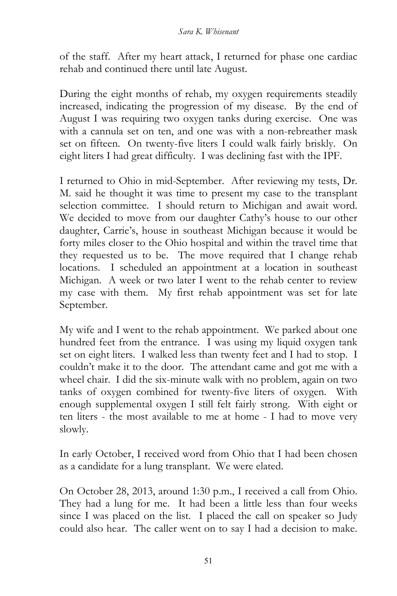of the staff. After my heart attack, I returned for phase one cardiac rehab and continued there until late August.

During the eight months of rehab, my oxygen requirements steadily increased, indicating the progression of my disease. By the end of August I was requiring two oxygen tanks during exercise. One was with a cannula set on ten, and one was with a non-rebreather mask set on fifteen. On twenty-five liters I could walk fairly briskly. On eight liters I had great difficulty. I was declining fast with the IPF.

I returned to Ohio in mid-September. After reviewing my tests, Dr. M. said he thought it was time to present my case to the transplant selection committee. I should return to Michigan and await word. We decided to move from our daughter Cathy's house to our other daughter, Carrie's, house in southeast Michigan because it would be forty miles closer to the Ohio hospital and within the travel time that they requested us to be. The move required that I change rehab locations. I scheduled an appointment at a location in southeast Michigan. A week or two later I went to the rehab center to review my case with them. My first rehab appointment was set for late September.

My wife and I went to the rehab appointment. We parked about one hundred feet from the entrance. I was using my liquid oxygen tank set on eight liters. I walked less than twenty feet and I had to stop. I couldn't make it to the door. The attendant came and got me with a wheel chair. I did the six-minute walk with no problem, again on two tanks of oxygen combined for twenty-five liters of oxygen. With enough supplemental oxygen I still felt fairly strong. With eight or ten liters - the most available to me at home - I had to move very slowly.

In early October, I received word from Ohio that I had been chosen as a candidate for a lung transplant. We were elated.

On October 28, 2013, around 1:30 p.m., I received a call from Ohio. They had a lung for me. It had been a little less than four weeks since I was placed on the list. I placed the call on speaker so Judy could also hear. The caller went on to say I had a decision to make.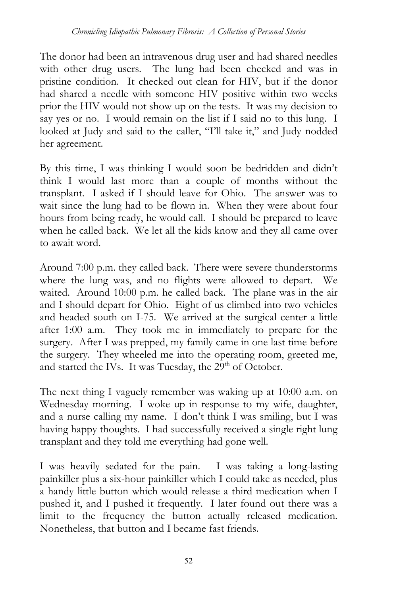The donor had been an intravenous drug user and had shared needles with other drug users. The lung had been checked and was in pristine condition. It checked out clean for HIV, but if the donor had shared a needle with someone HIV positive within two weeks prior the HIV would not show up on the tests. It was my decision to say yes or no. I would remain on the list if I said no to this lung. I looked at Judy and said to the caller, "I'll take it," and Judy nodded her agreement.

By this time, I was thinking I would soon be bedridden and didn't think I would last more than a couple of months without the transplant. I asked if I should leave for Ohio. The answer was to wait since the lung had to be flown in. When they were about four hours from being ready, he would call. I should be prepared to leave when he called back. We let all the kids know and they all came over to await word.

Around 7:00 p.m. they called back. There were severe thunderstorms where the lung was, and no flights were allowed to depart. We waited. Around 10:00 p.m. he called back. The plane was in the air and I should depart for Ohio. Eight of us climbed into two vehicles and headed south on I-75. We arrived at the surgical center a little after 1:00 a.m. They took me in immediately to prepare for the surgery. After I was prepped, my family came in one last time before the surgery. They wheeled me into the operating room, greeted me, and started the IVs. It was Tuesday, the  $29<sup>th</sup>$  of October.

The next thing I vaguely remember was waking up at 10:00 a.m. on Wednesday morning. I woke up in response to my wife, daughter, and a nurse calling my name. I don't think I was smiling, but I was having happy thoughts. I had successfully received a single right lung transplant and they told me everything had gone well.

I was heavily sedated for the pain. I was taking a long-lasting painkiller plus a six-hour painkiller which I could take as needed, plus a handy little button which would release a third medication when I pushed it, and I pushed it frequently. I later found out there was a limit to the frequency the button actually released medication. Nonetheless, that button and I became fast friends.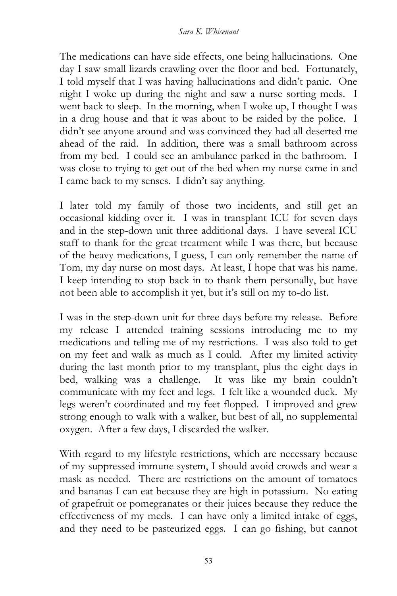The medications can have side effects, one being hallucinations. One day I saw small lizards crawling over the floor and bed. Fortunately, I told myself that I was having hallucinations and didn't panic. One night I woke up during the night and saw a nurse sorting meds. I went back to sleep. In the morning, when I woke up, I thought I was in a drug house and that it was about to be raided by the police. I didn't see anyone around and was convinced they had all deserted me ahead of the raid. In addition, there was a small bathroom across from my bed. I could see an ambulance parked in the bathroom. I was close to trying to get out of the bed when my nurse came in and I came back to my senses. I didn't say anything.

I later told my family of those two incidents, and still get an occasional kidding over it. I was in transplant ICU for seven days and in the step-down unit three additional days. I have several ICU staff to thank for the great treatment while I was there, but because of the heavy medications, I guess, I can only remember the name of Tom, my day nurse on most days. At least, I hope that was his name. I keep intending to stop back in to thank them personally, but have not been able to accomplish it yet, but it's still on my to-do list.

I was in the step-down unit for three days before my release. Before my release I attended training sessions introducing me to my medications and telling me of my restrictions. I was also told to get on my feet and walk as much as I could. After my limited activity during the last month prior to my transplant, plus the eight days in bed, walking was a challenge. It was like my brain couldn't communicate with my feet and legs. I felt like a wounded duck. My legs weren't coordinated and my feet flopped. I improved and grew strong enough to walk with a walker, but best of all, no supplemental oxygen. After a few days, I discarded the walker.

With regard to my lifestyle restrictions, which are necessary because of my suppressed immune system, I should avoid crowds and wear a mask as needed. There are restrictions on the amount of tomatoes and bananas I can eat because they are high in potassium. No eating of grapefruit or pomegranates or their juices because they reduce the effectiveness of my meds. I can have only a limited intake of eggs, and they need to be pasteurized eggs. I can go fishing, but cannot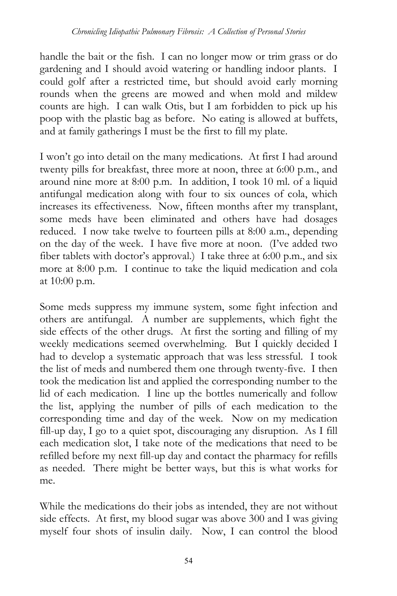handle the bait or the fish. I can no longer mow or trim grass or do gardening and I should avoid watering or handling indoor plants. I could golf after a restricted time, but should avoid early morning rounds when the greens are mowed and when mold and mildew counts are high. I can walk Otis, but I am forbidden to pick up his poop with the plastic bag as before. No eating is allowed at buffets, and at family gatherings I must be the first to fill my plate.

I won't go into detail on the many medications. At first I had around twenty pills for breakfast, three more at noon, three at 6:00 p.m., and around nine more at 8:00 p.m. In addition, I took 10 ml. of a liquid antifungal medication along with four to six ounces of cola, which increases its effectiveness. Now, fifteen months after my transplant, some meds have been eliminated and others have had dosages reduced. I now take twelve to fourteen pills at 8:00 a.m., depending on the day of the week. I have five more at noon. (I've added two fiber tablets with doctor's approval.) I take three at 6:00 p.m., and six more at 8:00 p.m. I continue to take the liquid medication and cola at 10:00 p.m.

Some meds suppress my immune system, some fight infection and others are antifungal. A number are supplements, which fight the side effects of the other drugs. At first the sorting and filling of my weekly medications seemed overwhelming. But I quickly decided I had to develop a systematic approach that was less stressful. I took the list of meds and numbered them one through twenty-five. I then took the medication list and applied the corresponding number to the lid of each medication. I line up the bottles numerically and follow the list, applying the number of pills of each medication to the corresponding time and day of the week. Now on my medication fill-up day, I go to a quiet spot, discouraging any disruption. As I fill each medication slot, I take note of the medications that need to be refilled before my next fill-up day and contact the pharmacy for refills as needed. There might be better ways, but this is what works for me.

While the medications do their jobs as intended, they are not without side effects. At first, my blood sugar was above 300 and I was giving myself four shots of insulin daily. Now, I can control the blood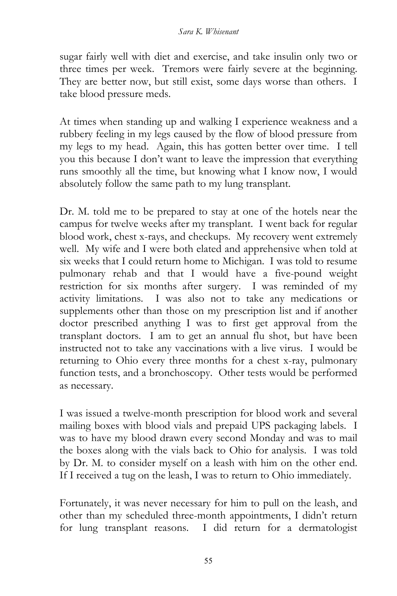sugar fairly well with diet and exercise, and take insulin only two or three times per week. Tremors were fairly severe at the beginning. They are better now, but still exist, some days worse than others. I take blood pressure meds.

At times when standing up and walking I experience weakness and a rubbery feeling in my legs caused by the flow of blood pressure from my legs to my head. Again, this has gotten better over time. I tell you this because I don't want to leave the impression that everything runs smoothly all the time, but knowing what I know now, I would absolutely follow the same path to my lung transplant.

Dr. M. told me to be prepared to stay at one of the hotels near the campus for twelve weeks after my transplant. I went back for regular blood work, chest x-rays, and checkups. My recovery went extremely well. My wife and I were both elated and apprehensive when told at six weeks that I could return home to Michigan. I was told to resume pulmonary rehab and that I would have a five-pound weight restriction for six months after surgery. I was reminded of my activity limitations. I was also not to take any medications or supplements other than those on my prescription list and if another doctor prescribed anything I was to first get approval from the transplant doctors. I am to get an annual flu shot, but have been instructed not to take any vaccinations with a live virus. I would be returning to Ohio every three months for a chest x-ray, pulmonary function tests, and a bronchoscopy. Other tests would be performed as necessary.

I was issued a twelve-month prescription for blood work and several mailing boxes with blood vials and prepaid UPS packaging labels. I was to have my blood drawn every second Monday and was to mail the boxes along with the vials back to Ohio for analysis. I was told by Dr. M. to consider myself on a leash with him on the other end. If I received a tug on the leash, I was to return to Ohio immediately.

Fortunately, it was never necessary for him to pull on the leash, and other than my scheduled three-month appointments, I didn't return for lung transplant reasons. I did return for a dermatologist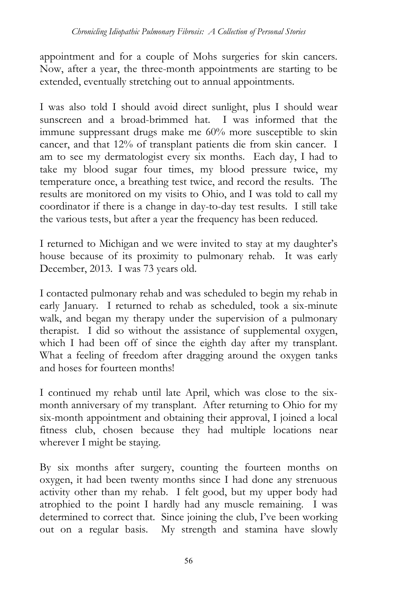appointment and for a couple of Mohs surgeries for skin cancers. Now, after a year, the three-month appointments are starting to be extended, eventually stretching out to annual appointments.

I was also told I should avoid direct sunlight, plus I should wear sunscreen and a broad-brimmed hat. I was informed that the immune suppressant drugs make me 60% more susceptible to skin cancer, and that 12% of transplant patients die from skin cancer. I am to see my dermatologist every six months. Each day, I had to take my blood sugar four times, my blood pressure twice, my temperature once, a breathing test twice, and record the results. The results are monitored on my visits to Ohio, and I was told to call my coordinator if there is a change in day-to-day test results. I still take the various tests, but after a year the frequency has been reduced.

I returned to Michigan and we were invited to stay at my daughter's house because of its proximity to pulmonary rehab. It was early December, 2013. I was 73 years old.

I contacted pulmonary rehab and was scheduled to begin my rehab in early January. I returned to rehab as scheduled, took a six-minute walk, and began my therapy under the supervision of a pulmonary therapist. I did so without the assistance of supplemental oxygen, which I had been off of since the eighth day after my transplant. What a feeling of freedom after dragging around the oxygen tanks and hoses for fourteen months!

I continued my rehab until late April, which was close to the sixmonth anniversary of my transplant. After returning to Ohio for my six-month appointment and obtaining their approval, I joined a local fitness club, chosen because they had multiple locations near wherever I might be staying.

By six months after surgery, counting the fourteen months on oxygen, it had been twenty months since I had done any strenuous activity other than my rehab. I felt good, but my upper body had atrophied to the point I hardly had any muscle remaining. I was determined to correct that. Since joining the club, I've been working out on a regular basis. My strength and stamina have slowly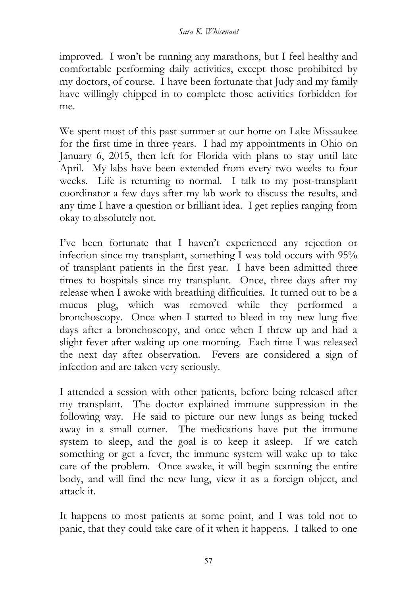improved. I won't be running any marathons, but I feel healthy and comfortable performing daily activities, except those prohibited by my doctors, of course. I have been fortunate that Judy and my family have willingly chipped in to complete those activities forbidden for me.

We spent most of this past summer at our home on Lake Missaukee for the first time in three years. I had my appointments in Ohio on January 6, 2015, then left for Florida with plans to stay until late April. My labs have been extended from every two weeks to four weeks. Life is returning to normal. I talk to my post-transplant coordinator a few days after my lab work to discuss the results, and any time I have a question or brilliant idea. I get replies ranging from okay to absolutely not.

I've been fortunate that I haven't experienced any rejection or infection since my transplant, something I was told occurs with 95% of transplant patients in the first year. I have been admitted three times to hospitals since my transplant. Once, three days after my release when I awoke with breathing difficulties. It turned out to be a mucus plug, which was removed while they performed a bronchoscopy. Once when I started to bleed in my new lung five days after a bronchoscopy, and once when I threw up and had a slight fever after waking up one morning. Each time I was released the next day after observation. Fevers are considered a sign of infection and are taken very seriously.

I attended a session with other patients, before being released after my transplant. The doctor explained immune suppression in the following way. He said to picture our new lungs as being tucked away in a small corner. The medications have put the immune system to sleep, and the goal is to keep it asleep. If we catch something or get a fever, the immune system will wake up to take care of the problem. Once awake, it will begin scanning the entire body, and will find the new lung, view it as a foreign object, and attack it.

It happens to most patients at some point, and I was told not to panic, that they could take care of it when it happens. I talked to one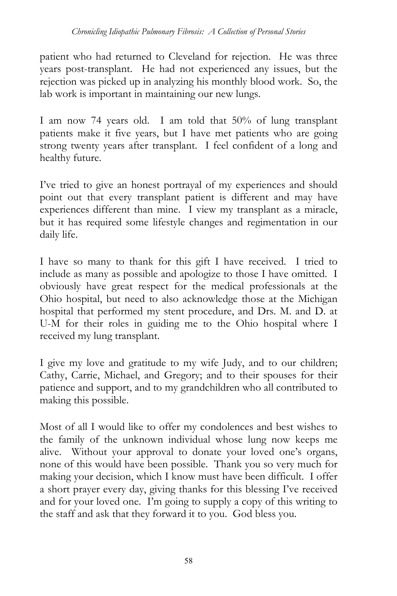patient who had returned to Cleveland for rejection. He was three years post-transplant. He had not experienced any issues, but the rejection was picked up in analyzing his monthly blood work. So, the lab work is important in maintaining our new lungs.

I am now 74 years old. I am told that 50% of lung transplant patients make it five years, but I have met patients who are going strong twenty years after transplant. I feel confident of a long and healthy future.

I've tried to give an honest portrayal of my experiences and should point out that every transplant patient is different and may have experiences different than mine. I view my transplant as a miracle, but it has required some lifestyle changes and regimentation in our daily life.

I have so many to thank for this gift I have received. I tried to include as many as possible and apologize to those I have omitted. I obviously have great respect for the medical professionals at the Ohio hospital, but need to also acknowledge those at the Michigan hospital that performed my stent procedure, and Drs. M. and D. at U-M for their roles in guiding me to the Ohio hospital where I received my lung transplant.

I give my love and gratitude to my wife Judy, and to our children; Cathy, Carrie, Michael, and Gregory; and to their spouses for their patience and support, and to my grandchildren who all contributed to making this possible.

Most of all I would like to offer my condolences and best wishes to the family of the unknown individual whose lung now keeps me alive. Without your approval to donate your loved one's organs, none of this would have been possible. Thank you so very much for making your decision, which I know must have been difficult. I offer a short prayer every day, giving thanks for this blessing I've received and for your loved one. I'm going to supply a copy of this writing to the staff and ask that they forward it to you. God bless you.